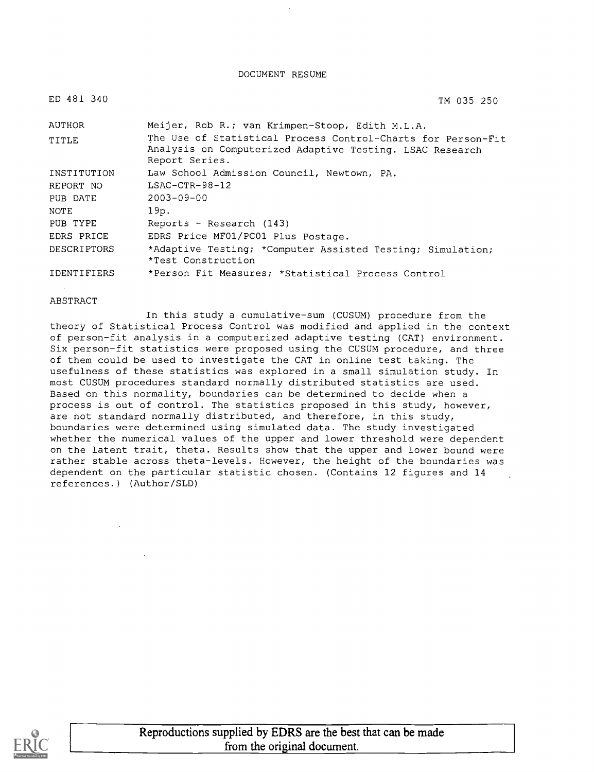#### DOCUMENT RESUME

| ED 481 340         | TM 035 250                                                                                                                                 |
|--------------------|--------------------------------------------------------------------------------------------------------------------------------------------|
| AUTHOR             | Meijer, Rob R.; van Krimpen-Stoop, Edith M.L.A.                                                                                            |
| TITLE              | The Use of Statistical Process Control-Charts for Person-Fit<br>Analysis on Computerized Adaptive Testing. LSAC Research<br>Report Series. |
| INSTITUTION        | Law School Admission Council, Newtown, PA.                                                                                                 |
| REPORT NO          | $LSAC-CTR-98-12$                                                                                                                           |
| PUB DATE           | $2003 - 09 - 00$                                                                                                                           |
| NOTE               | 19p.                                                                                                                                       |
| PUB TYPE           | Reports - Research (143)                                                                                                                   |
| EDRS PRICE         | EDRS Price MF01/PC01 Plus Postage.                                                                                                         |
| <b>DESCRIPTORS</b> | *Adaptive Testing; *Computer Assisted Testing; Simulation;<br>*Test Construction                                                           |
| IDENTIFIERS        | *Person Fit Measures; *Statistical Process Control                                                                                         |

#### ABSTRACT

In this study a cumulative-sum (CUSUM) procedure from the theory of Statistical Process Control was modified and applied in the context of person-fit analysis in a computerized adaptive testing (CAT) environment. Six person-fit statistics were proposed using the CUSUM procedure, and three of them could be used to investigate the CAT in online test taking. The usefulness of these statistics was explored in a small simulation study. In most CUSUM procedures standard normally distributed statistics are used. Based on this normality, boundaries can be determined to decide when a process is out of control. The statistics proposed in this study, however, are not standard normally distributed, and therefore, in this study, boundaries were determined using simulated data. The study investigated whether the numerical values of the upper and lower threshold were dependent on the latent trait, theta. Results show that the upper and lower bound were rather stable across theta-levels. However, the height of the boundaries was dependent on the particular statistic chosen. (Contains 12 figures and 14 references.) (Author/SLD)

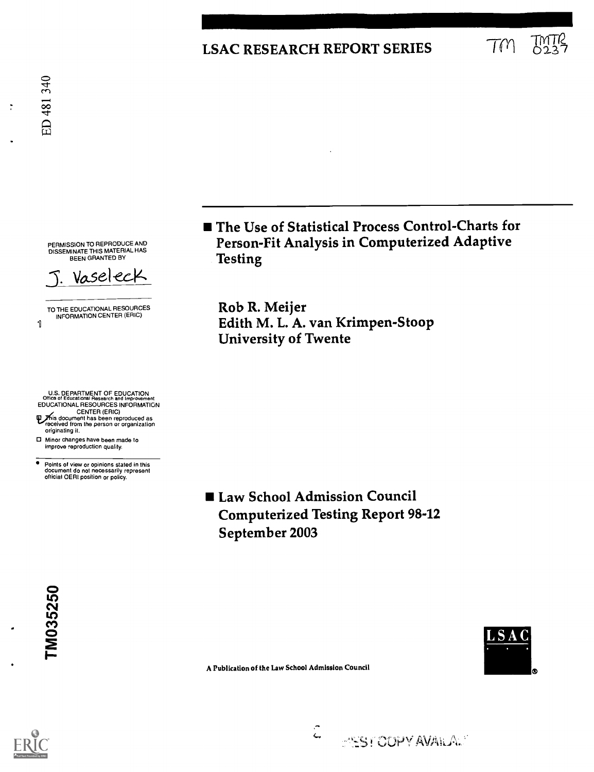## LSAC RESEARCH REPORT SERIES  $T_M$

ิ์

PERMISSION TO REPRODUCE AND DISSEMINATE THIS MATERIAL HAS BEEN GRANTED BY



TO THE EDUCATIONAL RESOURCES INFORMATION CENTER (ERIC)

U.S. DEPARTMENT OF EDUCATION Office of Educational Research and improvement EDUCATIONAL RESOURCES INFORMATION

- CENTER (ERIC) le/is document has been reproduced as received from the person or organization originating it.
- 0 Minor changes have been made to improve reproduction quality.
- ٠ Points of view or opinions stated in this document do not necessarily represent official OERI position or policy.

■ The Use of Statistical Process Control-Charts for Person-Fit Analysis in Computerized Adaptive Testing

Rob R. Meijer Edith M. L. A. van Krimpen-Stoop University of Twente

■ Law School Admission Council Computerized Testing Report 98-12 September 2003

**COPY AVAILA.** 





A Publication of the Law School Admission Council

 $\hat{\zeta}$ 

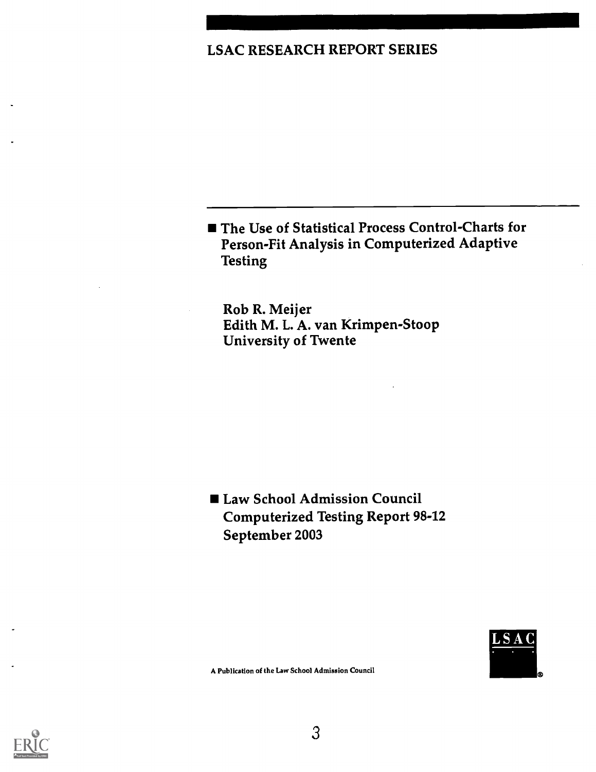## LSAC RESEARCH REPORT SERIES

■ The Use of Statistical Process Control-Charts for Person-Fit Analysis in Computerized Adaptive Testing

Rob R. Meijer Edith M. L. A. van Krimpen-Stoop University of Twente

■ Law School Admission Council Computerized Testing Report 98-12 September 2003



A Publication of the Law School Admission Council

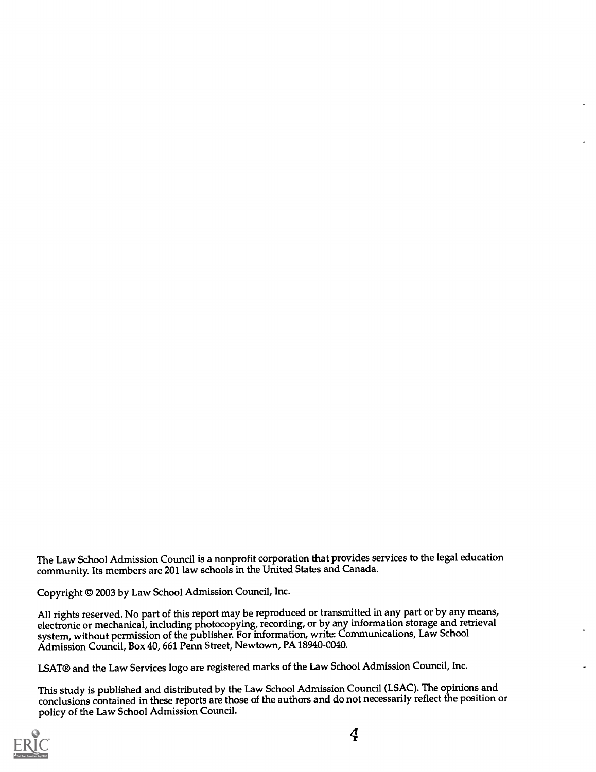The Law School Admission Council is a nonprofit corporation that provides services to the legal education community. Its members are 201 law schools in the United States and Canada.

Copyright ® 2003 by Law School Admission Council, Inc.

All rights reserved. No part of this report may be reproduced or transmitted in any part or by any means, electronic or mechanical, including photocopying, recording, or by any information storage and retrieval system, without permission of the publisher. For information, write: Communications, Law School Admission Council, Box 40, 661 Penn Street, Newtown, PA 18940-0040.

LSAT® and the Law Services logo are registered marks of the Law School Admission Council, Inc.

This study is published and distributed by the Law School Admission Council (LSAC).The opinions and conclusions contained in these reports are those of the authors and do not necessarily reflect the position or policy of the Law School Admission Council.

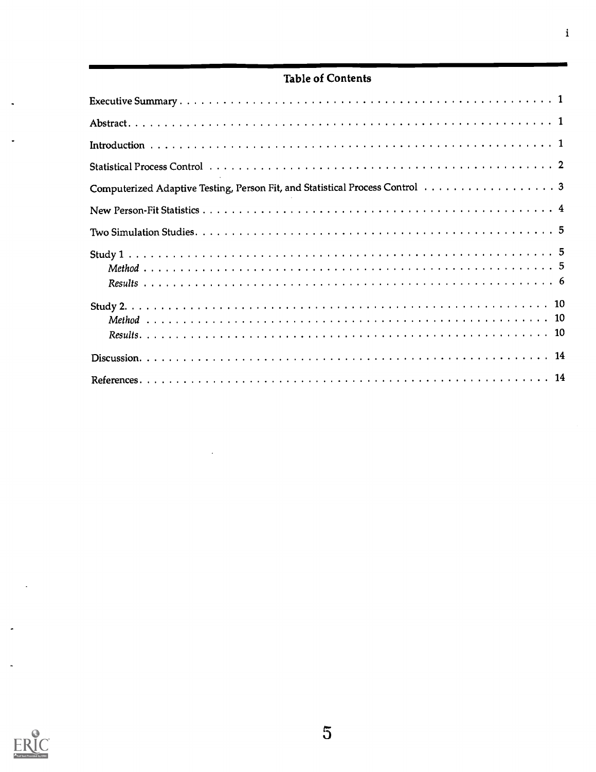## Table of Contents

| Computerized Adaptive Testing, Person Fit, and Statistical Process Control 3 |  |
|------------------------------------------------------------------------------|--|
|                                                                              |  |
|                                                                              |  |
|                                                                              |  |
|                                                                              |  |
|                                                                              |  |
|                                                                              |  |
|                                                                              |  |
|                                                                              |  |
|                                                                              |  |
|                                                                              |  |

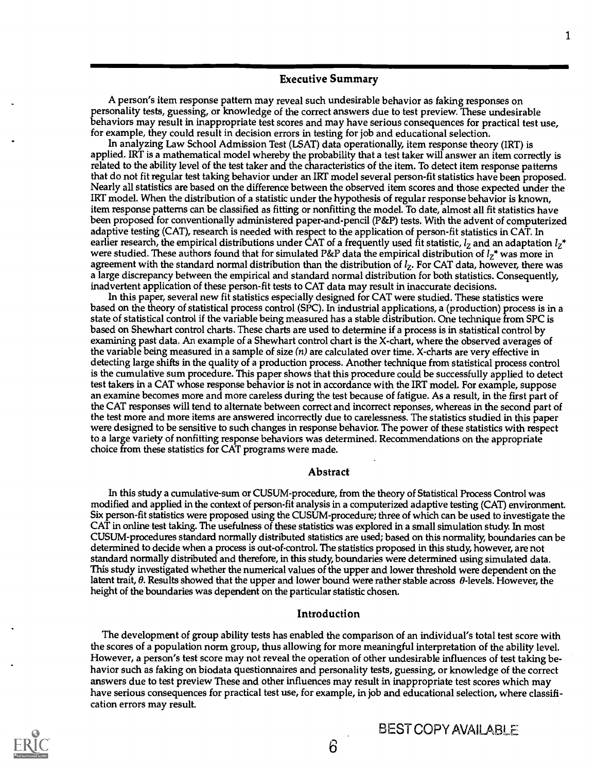#### Executive Summary

A person's item response pattern may reveal such undesirable behavior as faking responses on personality tests, guessing, or knowledge of the correct answers due to test preview. These undesirable behaviors may result in inappropriate test scores and may have serious consequences for practical test use, for example, they could result in decision errors in testing for job and educational selection.

In analyzing Law School Admission Test (LSAT) data operationally, item response theory (IRT) is applied. IRT is a mathematical model whereby the probability that a test taker will answer an item correctly is related to the ability level of the test taker and the characteristics of the item. To detect item response patterns that do not fit regular test taking behavior under an IRT model several person-fit statistics have been proposed. Nearly all statistics are based on the difference between the observed item scores and those expected under the IRT model. When the distribution of a statistic under the hypothesis of regular response behavior is known, item response patterns can be classified as fitting or nonfitting the model. To date, almost all fit statistics have been proposed for conventionally administered paper-and-pencil (P&P) tests. With the advent of computerized adaptive testing (CAT), research is needed with respect to the application of person-fit statistics in CAT. In earlier research, the empirical distributions under CAT of a frequently used fit statistic,  $l_z$  and an adaptation  $l_z^*$ were studied. These authors found that for simulated P&P data the empirical distribution of  $l_z^*$  was more in agreement with the standard normal distribution than the distribution of  $l_z$ . For CAT data, however, there was a large discrepancy between the empirical and standard normal distribution for both statistics. Consequently, inadvertent application of these person-fit tests to CAT data may result in inaccurate decisions.

In this paper, several new fit statistics especially designed for CAT were studied. These statistics were based on the theory of statistical process control (SPC). In industrial applications, a (production) process is in a state of statistical control if the variable being measured has a stable distribution. One technique from SPC is based on Shewhart control charts. These charts are used to determine if a process is in statistical control by examining past data. An example of a Shewhart control chart is the X-chart, where the observed averages of the variable being measured in a sample of size (n) are calculated over time. X-charts are very effective in detecting large shifts in the quality of a production process. Another technique from statistical process control is the cumulative sum procedure. This paper shows that this procedure could be successfully applied to detect test takers in a CAT whose response behavior is not in accordance with the IRT model. For example, suppose an examine becomes more and more careless during the test because of fatigue. As a result, in the first part of the CAT responses will tend to alternate between correct and incorrect reponses, whereas in the second part of the test more and more items are answered incorrectly due to carelessness. The statistics studied in this paper were designed to be sensitive to such changes in response behavior. The power of these statistics with respect to a large variety of nonfitting response behaviors was determined. Recommendations on the appropriate choice from these statistics for CAT programs were made.

#### Abstract

In this study a cumulative-sum or CUSUM-procedure, from the theory of Statistical Process Control was modified and applied in the context of person-fit analysis in a computerized adaptive testing (CAT) environment. Six person-fit statistics were proposed using the CUSUM-procedure; three of which can be used to investigate the CAT in online test taking. The usefulness of these statistics was explored in a small simulation study. In most CUSUM-procedures standard normally distributed statistics are used; based on this normality boundaries can be determined to decide when a process is out-of-control. The statistics proposed in this study, however, are not standard normally distributed and therefore, in this study, boundaries were determined using simulated data. This study investigated whether the numerical values of the upper and lower threshold were dependent on the latent trait, 0. Results showed that the upper and lower bound were rather stable across 0-levels. However, the height of the boundaries was dependent on the particular statistic chosen.

#### Introduction

The development of group ability tests has enabled the comparison of an individual's total test score with the scores of a population norm group, thus allowing for more meaningful interpretation of the ability leveL However, a person's test score may not reveal the operation of other undesirable influences of test taking behavior such as faking on biodata questionnaires and personality tests, guessing, or knowledge of the correct answers due to test preview These and other influences may result in inappropriate test scores which may have serious consequences for practical test use, for example, in job and educational selection, where classification errors may result.



6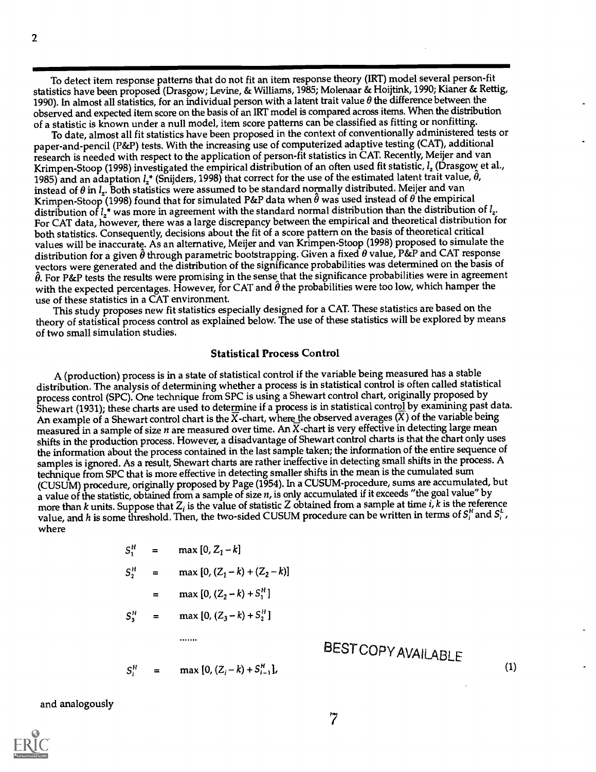To detect item response patterns that do not fit an item response theory (IRT) model several person-fit statistics have been proposed (Drasgow; Levine, & Williams, 1985; Molenaar & Hoijtink, 1990; Kianer & Rettig, 1990). In almost all statistics, for an individual person with a latent trait value  $\theta$  the difference between the observed and expected item score on the basis of an IRT model is compared across items. When the distribution of a statistic is known under a null model, item score patterns can be classified as fitting or nonfitting.

To date, almost all fit statistics have been proposed in the context of conventionally administered tests or paper-and-pencil (P&P) tests. With the increasing use of computerized adaptive testing (CAT), additional research is needed with respect to the application of person-fit statistics in CAT. Recently, Meijer and van Krimpen-Stoop (1998) investigated the empirical distribution of an often used fit statistic,  $l_z$  (Drasgow et al., 1985) and an adaptation  $l^*$  (Snijders, 1998) that correct for the use of the estimated latent trait value,  $\theta$ , instead of  $\theta$  in  $l_z$ . Both statistics were assumed to be standard normally distributed. Meijer and van Krimpen-Stoop (1998) found that for simulated P&P data when  $\hat{\theta}$  was used instead of  $\theta$  the empirical distribution of  $l_2$ \* was more in agreement with the standard normal distribution than the distribution of  $l_2$ . For CAT data, however, there was a large discrepancy between the empirical and theoretical distribution for both statistics. Consequently, decisions about the fit of a score pattern on the basis of theoretical critical values will be inaccurate. As an alternative, Meijer and van Krimpen-Stoop (1998) proposed to simulate the distribution for a given  $\theta$  through parametric bootstrapping. Given a fixed  $\theta$  value, P&P and CAT response yectors were generated and the distribution of the significance probabilities was determined on the basis of  $\hat{\theta}$ . For P&P tests the results were promising in the sense that the significance probabilities were in agreement with the expected percentages. However, for CAT and  $\hat{\theta}$  the probabilities were too low, which hamper the use of these statistics in a CAT environment.

This study proposes new fit statistics especially designed for a CAT. These statistics are based on the theory of statistical process control as explained below. The use of these statistics will be explored by means of two small simulation studies.

#### Statistical Process Control

A (production) process is in a state of statistical control if the variable being measured has a stable distribution. The analysis of determining whether a process is in statistical control is often called statistical process control (SPC). One technique from SPC is using a Shewart control chart, originally proposed by Shewart (1931); these charts are used to determine if a process is in statistical control by examining past data. An example of a Shewart control chart is the  $\overline{X}$ -chart, where the observed averages (X) of the variable being measured in a sample of size n are measured over time. An  $\overline{X}$ -chart is very effective in detecting large mean shifts in the production process. However, a disadvantage of Shewart control charts is that the chart only uses the information about the process contained in the last sample taken; the information of the entire sequence of samples is ignored. As a result, Shewart charts are rather ineffective in detectingsmall shifts in the process. A technique from SPC that is more effective in detecting smaller shifts in the mean is the cumulated sum (CUSUM) procedure, originally proposed by Page (1954). In a CUSUM-procedure, sums are accumulated, but a value of the statistic, obtained from a sample of size  $n$ , is only accumulated if it exceeds "the goal value" by more than k units. Suppose that  $Z_i$  is the value of statistic Z obtained from a sample at time i, k is the reference value, and h is some threshold. Then, the two-sided CUSUM procedure can be written in terms of  $S_i^H$  and  $S_i^L$ , where

$$
S_1^H = \max [0, Z_1 - k]
$$
  
\n
$$
S_2^H = \max [0, (Z_1 - k) + (Z_2 - k)]
$$
  
\n
$$
= \max [0, (Z_2 - k) + S_1^H]
$$
  
\n
$$
S_3^H = \max [0, (Z_3 - k) + S_2^H]
$$
  
\n........

$$
S_i^H = \max\{0, (Z_i - k) + S_{i-1}^H\},\
$$

## BESTCOPYAVAILABLE

(1)

and analogously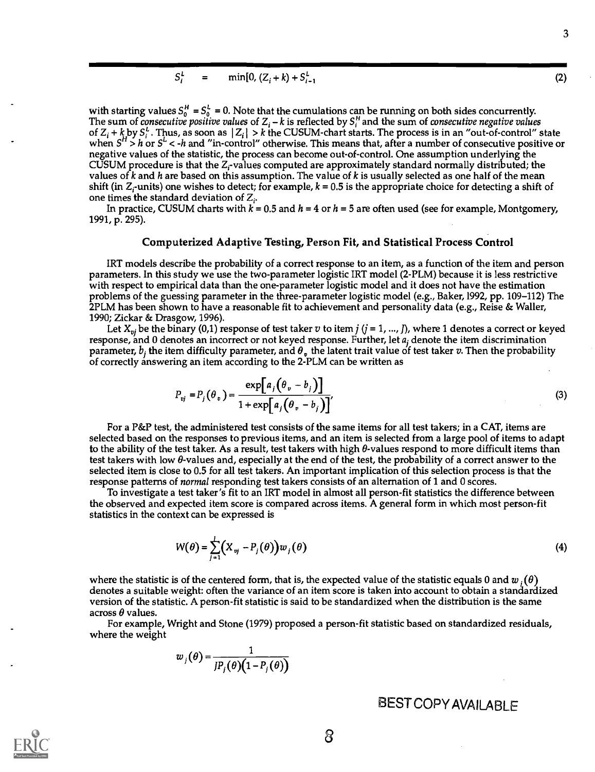$$
S_i^L = \min[0, (Z_i + k) + S_{i-1}^L \tag{2}
$$

with starting values  $S_0^H = S_0^L = 0$ . Note that the cumulations can be running on both sides concurrently. The sum of *consecutive positive values* of Z<sub>i</sub> –  $k$  is reflected by  $S_i^H$  and the sum of *consecutive negative values* of  $Z_i$  + k by  $S_i^L$ . Thus, as soon as  $|Z_i| > k$  the CUSUM-chart starts. The process is in an "out-of-control" state when  $S^H > h$  or  $S^L < h$  and "in-control" otherwise. This means that, after a number of consecutive positive or negative values of the statistic, the process can become out-of-control. One assumption underlying the CUSUM procedure is that the  $Z_i$ -values computed are approximately standard normally distributed; the values of k and h are based on this assumption. The value of  $k$  is usually selected as one half of the mean shift (in  $Z_i$ -units) one wishes to detect; for example,  $k = 0.5$  is the appropriate choice for detecting a shift of one times the standard deviation of  $Z_i$ .

In practice, CUSUM charts with  $k = 0.5$  and  $h = 4$  or  $h = 5$  are often used (see for example, Montgomery, 1991, p. 295).

#### Computerized Adaptive Testing, Person Fit, and Statistical Process Control

IRT models describe the probability of a correct response to an item, as a function of the item and person parameters. In this study we use the two-parameter logistic IRT model (2-PLM) because it is less restrictive with respect to empirical data than the one-parameter logistic model and it does not have the estimation problems of the guessing parameter in the three-parameter logistic model (e.g., Baker,1992, pp. 109-112) The 2PLM has been shown to have a reasonable fit to achievement and personality data (e.g., Reise & Waller, 1990; Zickar & Drasgow, 1996).

Let  $X_{vi}$  be the binary (0,1) response of test taker v to item  $j$  ( $j = 1, ..., J$ ), where 1 denotes a correct or keyed response, and 0 denotes an incorrect or not keyed response. Further, let  $a_i$  denote the item discrimination parameter,  $b_i$  the item difficulty parameter, and  $\theta_v$  the latent trait value of test taker v. Then the probability of correctly answering an item according to the 2-PLM can be written as

$$
P_{vj} = P_j(\theta_v) = \frac{\exp[a_j(\theta_v - b_j)]}{1 + \exp[a_j(\theta_v - b_j)]'}
$$
\n(3)

For a P&P test, the administered test consists of the same items for all test takers; in a CAT, items are selected based on the responses to previous items, and an item is selected from a large pool of items to adapt to the ability of the test taker. As a result, test takers with high  $\theta$ -values respond to more difficult items than test takers with low  $\theta$ -values and, especially at the end of the test, the probability of a correct answer to the selected item is close to 0.5 for all test takers. An important implication of this selection process is that the response patterns of normal responding test takers consists of an alternation of 1 and 0 scores.

To investigate a test taker's fit to an IRT model in almost all person-fit statistics the difference between the observed and expected item score is compared across items. A general form in which most person-fit statistics in the context can be expressed is

$$
W(\theta) = \sum_{j=1}^{l} \left( X_{ij} - P_j(\theta) \right) w_j(\theta)
$$
\n(4)

where the statistic is of the centered form, that is, the expected value of the statistic equals 0 and  $w_1(\theta)$ denotes a suitable weight: often the variance of an item score is taken into account to obtain a standardized version of the statistic. A person-fit statistic is said to be standardized when the distribution is the same across  $\theta$  values.

For example, Wright and Stone (1979) proposed a person-fit statistic based on standardized residuals, where the weight

$$
w_j(\theta) = \frac{1}{J P_j(\theta) \big(1 - P_j(\theta)\big)}
$$

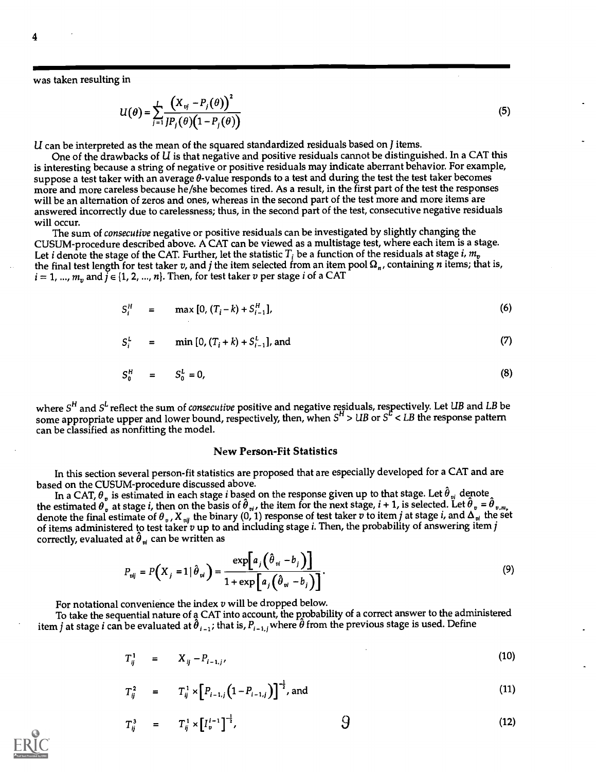was taken resulting in

$$
U(\theta) = \sum_{j=1}^{I} \frac{\left(X_{ij} - P_j(\theta)\right)^2}{IP_j(\theta)\left(1 - P_j(\theta)\right)}
$$
(5)

 $U$  can be interpreted as the mean of the squared standardized residuals based on  $J$  items.

One of the drawbacks of  $U$  is that negative and positive residuals cannot be distinguished. In a CAT this is interesting because a string of negative or positive residuals may indicate aberrant behavior. For example, suppose a test taker with an average  $\theta$ -value responds to a test and during the test the test taker becomes more and more careless because he/she becomes tired. As a result, in the first part of the test the responses will be an alternation of zeros and ones, whereas in the second part of the test more and more items are answered incorrectly due to carelessness; thus, in the second part of the test, consecutive negative residuals will occur.

The sum of consecutive negative or positive residuals can be investigated by slightly changing the CUSUM-procedure described above. A CAT can be viewed as a multistage test, where each item is a stage. Let *i* denote the stage of the CAT. Further, let the statistic  $T_i$  be a function of the residuals at stage *i*,  $m_v$ the final test length for test taker v, and j the item selected from an item pool  $\Omega_n$ , containing n items; that is,  $i = 1, ..., m_n$  and  $\overline{j} \in \{1, 2, ..., n\}$ . Then, for test taker v per stage i of a CAT

$$
S_i^H = \max [0, (T_i - k) + S_{i-1}^H], \tag{6}
$$

$$
S_i^L = \min[0, (T_i + k) + S_{i-1}^L], \text{ and} \tag{7}
$$

$$
S_0^H = S_0^L = 0,
$$
 (8)

where  $S^H$  and  $S^\iota$  reflect the sum of *consecutive* positive and negative residuals, respectively. Let UB and LB be some appropriate upper and lower bound, respectively, then, when  $S^{\text{r}}$  > UB or  $S^{\text{c}}$  < LB the response pattern can be classified as nonfitting the model.

#### New Person-Fit Statistics

In this section several person-fit statistics are proposed that are especially developed for a CAT and are based on the CUSUM-procedure discussed above.

In a CAT,  $\theta_{v}$  is estimated in each stage *i* based on the response given up to that stage. Let  $\theta_{v}$  denote  $_{\alpha}$ the estimated  $\theta_v$  at stage *i*, then on the basis of  $\theta_{vi}$ , the item for the next stage,  $i+1$ , is selected. Let  $\theta_v = \theta_{v,m_v}$ denote the final estimate of  $\theta$  , , X  $_{vij}$  the binary (0, 1) response of test taker  $v$  to item  $j$  at stage  $i$ , and  $\Delta_{vi}$  the set of items administered to test taker  $v$  up to and including stage *i*. Then, the probability of answering item *j* correctly, evaluated at  $\hat{\theta}_{vi}$  can be written as

$$
P_{vij} = P\left(X_j = 1 | \hat{\theta}_{vi}\right) = \frac{\exp\left[a_j\left(\hat{\theta}_{vi} - b_j\right)\right]}{1 + \exp\left[a_j\left(\hat{\theta}_{vi} - b_j\right)\right]}.
$$
\n(9)

For notational convenience the index  $v$  will be dropped below.

To take the sequential nature of a CAT into account, the probability of a correct answer to the administered item j at stage i can be evaluated at  $\hat{\theta}_{i-1}$ ; that is,  $P_{i-1,j}$  where  $\hat{\theta}$  from the previous stage is used. Define

$$
T_{ij}^1 = X_{ij} - P_{i-1,j'}
$$
 (10)

$$
T_{ij}^2 = T_{ij}^1 \times \left[ P_{i-1,j} \left( 1 - P_{i-1,j} \right) \right]^{-\frac{1}{2}}, \text{ and} \qquad (11)
$$

$$
T_{ij}^3 = T_{ij}^1 \times [I_v^{i-1}]^{-\frac{1}{2}}, \qquad \qquad \text{9}
$$
 (12)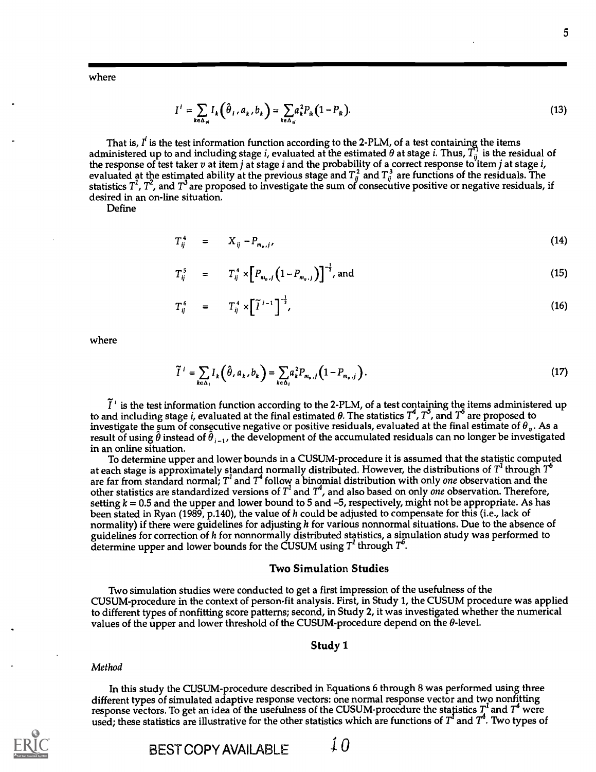where

$$
I^i = \sum_{k \in \Delta_{\mathfrak{u}}} I_k \left( \hat{\theta}_i, a_k, b_k \right) = \sum_{k \in \Delta_{\mathfrak{u}}} a_k^2 P_{ik} \left( 1 - P_{ik} \right). \tag{13}
$$

That is,  $I<sup>i</sup>$  is the test information function according to the 2-PLM, of a test containing the items administered up to and including stage *i*, evaluated at the estimated  $\theta$  at stage *i*. Thus,  $T_{ii}^1$  is the residual of the response of test taker  $v$  at item  $j$  at stage  $i$  and the probability of a correct response to item  $j$  at stage  $i$ , evaluated at the estimated ability at the previous stage and  $T_{ij}^2$  and  $T_{ij}^3$  are functions of the residuals. The statistics  $T', T',$  and  $T'$  are proposed to investigate the sum of consecutive positive or negative residuals, if desired in an on-line situation.

Define

 $T_{ij}^4$  =  $X_{ij} - P_{m_{ij}j}$ , (14)

$$
T_{ij}^5 = T_{ij}^4 \times \left[ P_{m_{i},j} \left( 1 - P_{m_{i},j} \right) \right]^{-\frac{1}{2}}, \text{ and} \qquad (15)
$$

$$
T_{ij}^6 = T_{ij}^4 \times \left[ \tilde{T}^{i-1} \right]^{-\frac{1}{2}}, \qquad (16)
$$

where

$$
\widetilde{I}^i = \sum_{k \in \Delta_i} I_k \left( \widehat{\theta}, a_k, b_k \right) = \sum_{k \in \Delta_i} a_k^2 P_{m_{\nu}, j} \left( 1 - P_{m_{\nu}, j} \right). \tag{17}
$$

 $\tilde{I}^T$  is the test information function according to the 2-PLM, of a test containing the items administered up to and including stage *i*, evaluated at the final estimated  $\theta$ . The statistics  $T^4$ ,  $T^5$ , and  $T^6$  investigate the sum of consecutive negative or positive residuals, evaluated at the final estimate of  $\theta_v$ . As a result of using  $\hat{\theta}$  instead of  $\hat{\theta}_{i-1}$ , the development of the accumulated residuals can no longer be investigated in an online situation.

To determine upper and lower bounds in a CUSUM-procedure it is assumed that the statistic computed at each stage is approximately standard normally distributed. However, the distributions of  $T^1$  through  $T^6$ are far from standard normal;  $T^{\prime}$  and  $T^{\prime}$  follow a binomial distribution with only *one* observation and the other statistics are standardized versions of  $T^\iota$  and  $T^\iota$ , and also based on only *one* observation. Therefore, setting  $k = 0.5$  and the upper and lower bound to 5 and -5, respectively, might not be appropriate. As has been stated in Ryan (1989, p.140), the value of h could be adjusted to compensate for this (i.e., lack of normality) if there were guidelines for adjusting  $h$  for various nonnormal situations. Due to the absence of guidelines for correction of h for nonnormally distributed statistics, a simulation study was performed to determine upper and lower bounds for the CUSUM using  $T^1$  through  $T^6$ .

#### Two Simulation Studies

Two simulation studies were conducted to get a first impression of the usefulness of the CUSUM-procedure in the context of person-fit analysis. First, in Study 1, the CUSUM procedure was applied to different types of nonfitting score patterns; second, in Study 2, it was investigated whether the numerical values of the upper and lower threshold of the CUSUM-procedure depend on the  $\theta$ -level.

#### Study 1

#### Method

In this study the CUSUM-procedure described in Equations 6 through 8 was performed using three different types of simulated adaptive response vectors: one normal response vector and two nonfitting response vectors. To get an idea of the usefulness of the CUSUM-procedure the statistics  $T^\prime$  and  $T^\ast$  were used; these statistics are illustrative for the other statistics which are functions of  $T^{\prime}$  and  $T^{\ast}.$  Two types of

BEST COPY AVAILABLE  $\overline{a}$   $\overline{b}$ 

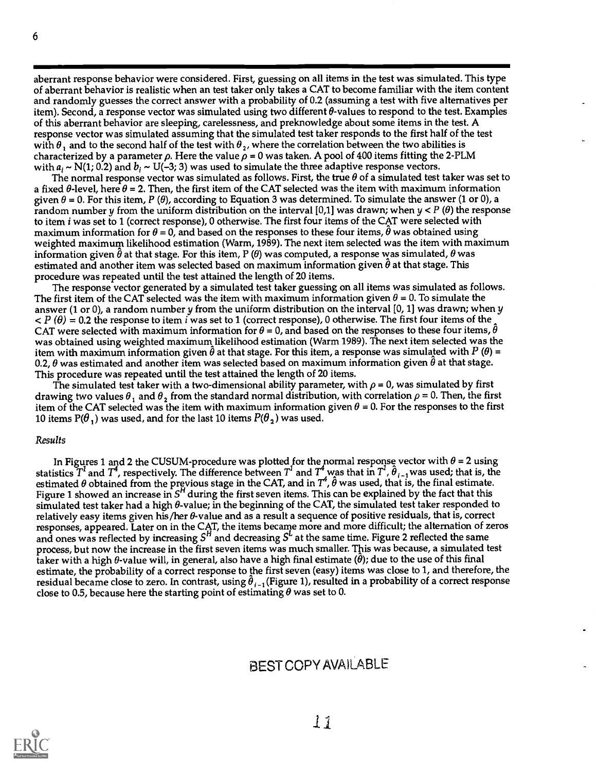aberrant response behavior were considered. First, guessing on all items in the test was simulated. This type of aberrant behavior is realistic when an test taker only takes a CAT to become familiar with the item content and randomly guesses the correct answer with a probability of 0.2 (assuming a test with five alternatives per item). Second, a response vector was simulated using two different 0-values to respond to the test. Examples of this aberrant behavior are sleeping, carelessness, and preknowledge about some items in the test. A response vector was simulated assuming that the simulated test taker responds to the first half of the test with  $\theta_1$  and to the second half of the test with  $\theta_2$ , where the correlation between the two abilities is characterized by a parameter  $\rho$ . Here the value  $\rho = 0$  was taken. A pool of 400 items fitting the 2-PLM with  $a_i \sim N(1; 0.2)$  and  $b_i \sim U(-3; 3)$  was used to simulate the three adaptive response vectors.

The normal response vector was simulated as follows. First, the true  $\theta$  of a simulated test taker was set to a fixed  $\theta$ -level, here  $\theta$  = 2. Then, the first item of the CAT selected was the item with maximum information given  $\theta$  = 0. For this item, P ( $\theta$ ), according to Equation 3 was determined. To simulate the answer (1 or 0), a random number y from the uniform distribution on the interval [0,1] was drawn; when  $y < P(\theta)$  the response to item i was set to 1 (correct response), 0 otherwise. The first four items of the CAT were selected with maximum information for  $\theta = 0$ , and based on the responses to these four items,  $\hat{\theta}$  was obtained using weighted maximum likelihood estimation (Warm, 1989). The next item selected was the item with maximum information given  $\hat{\theta}$  at that stage. For this item, P ( $\theta$ ) was computed, a response was simulated,  $\theta$  was estimated and another item was selected based on maximum information given  $\theta$  at that stage. This procedure was repeated until the test attained the length of 20 items.

The response vector generated by a simulated test taker guessing on all items was simulated as follows. The first item of the CAT selected was the item with maximum information given  $\theta$  = 0. To simulate the answer (1 or 0), a random number y from the uniform distribution on the interval [0, 1] was drawn; when y  $P(\theta) = 0.2$  the response to item i was set to 1 (correct response), 0 otherwise. The first four items of the CAT were selected with maximum information for  $\theta = 0$ , and based on the responses to these four items,  $\hat{\theta}$ was obtained using weighted maximum likelihood estimation (Warm 1989). The next item selected was the item with maximum information given  $\hat{\theta}$  at that stage. For this item, a response was simulated with P ( $\theta$ ) = 0.2,  $\theta$  was estimated and another item was selected based on maximum information given  $\theta$  at that stage. This procedure was repeated until the test attained the length of 20 items.

The simulated test taker with a two-dimensional ability parameter, with  $\rho$  = 0, was simulated by first drawing two values  $\theta_1$  and  $\theta_2$  from the standard normal distribution, with correlation  $\rho$  = 0. Then, the first item of the CAT selected was the item with maximum information given  $\theta = 0$ . For the responses to the first 10 items  $P(\theta_1)$  was used, and for the last 10 items  $P(\theta_2)$  was used.

#### Results

In Figures 1 and 2 the CUSUM-procedure was plotted for the normal response vector with  $\theta$  = 2 using statistics  $T^1$  and  $T^4$ , respectively. The difference between  $T^1$  and  $T^4$  was that in  $T^1$ ,  $\theta_{i-1}$  was used; that is, the estimated  $\theta$  obtained from the previous stage in the CAT, and in  $T^4$ ,  $\hat{\theta}$  was used, that is, the final estimate. Figure 1 showed an increase in  $S<sup>H</sup>$  during the first seven items. This can be explained by the fact that this simulated test taker had a high  $\theta$ -value; in the beginning of the CAT, the simulated test taker responded to relatively easy items given his/her  $\theta$ -value and as a result a sequence of positive residuals, that is, correct responses, appeared. Later on in the CAT, the items became more and more difficult; the alternation of zeros and ones was reflected by increasing  $S<sup>H</sup>$  and decreasing  $S<sup>L</sup>$  at the same time. Figure 2 reflected the same process, but now the increase in the first seven items was much smaller. This was because, a simulated test taker with a high  $\theta$ -value will, in general, also have a high final estimate ( $\hat{\theta}$ ); due to the use of this final estimate, the probability of a correct response to the first seven (easy) items was close to 1, and therefore, the residual became close to zero. In contrast, using  $\hat{\theta}_{i-1}$  (Figure 1), resulted in a probability of a correct response close to 0.5, because here the starting point of estimating  $\theta$  was set to 0.

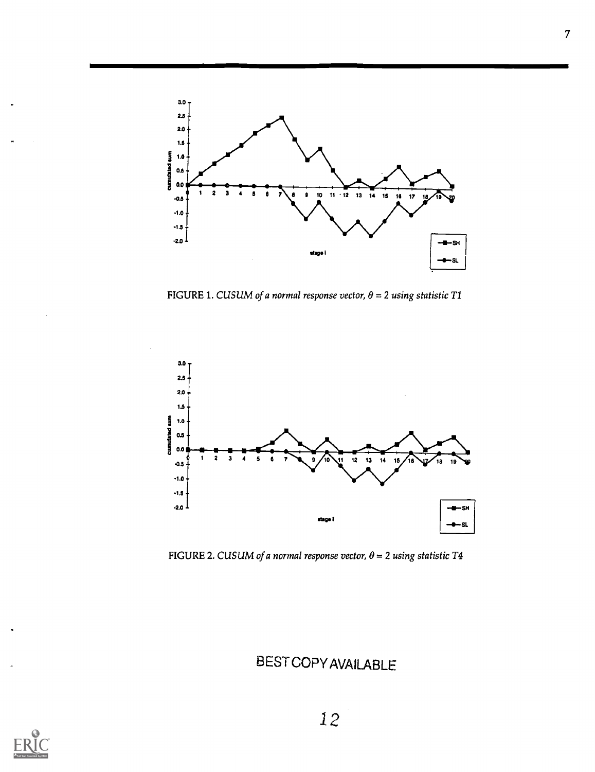

FIGURE 1. CUSUM of a normal response vector,  $\theta = 2$  using statistic T1



FIGURE 2. CUSUM of a normal response vector,  $\theta = 2$  using statistic T4

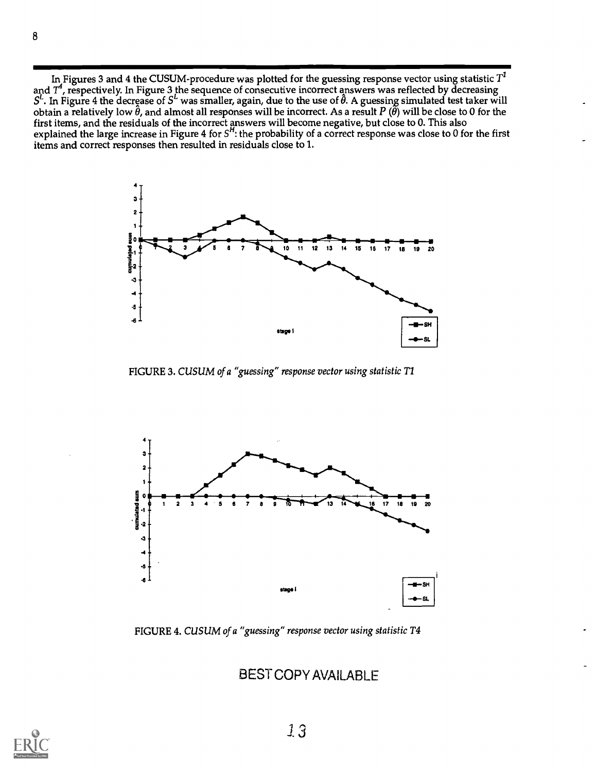In Figures 3 and 4 the CUSUM-procedure was plotted for the guessing response vector using statistic  $T<sup>1</sup>$ and  $T^\ast$ , respectively. In Figure 3 the sequence of consecutive incorrect answers was reflected by decreasing  $S^\iota$ . In Figure 4 the decrease of  $S^\iota$  was smaller, again, due to the use of  $\theta$ . A guessing simulated test taker will obtain a relatively low  $\hat{\theta}$ , and almost all responses will be incorrect. As a result P ( $\hat{\theta}$ ) will be close to 0 for the first items, and the residuals of the incorrect answers will become negative, but close to 0. This also explained the large increase in Figure 4 for  $S^n$ : the probability of a correct response was close to 0 for the first items and correct responses then resulted in residuals close to 1.



FIGURE 3. CUSUM of a "guessing" response vector using statistic T1



FIGURE 4. CUSUM of a "guessing" response vector using statistic T4

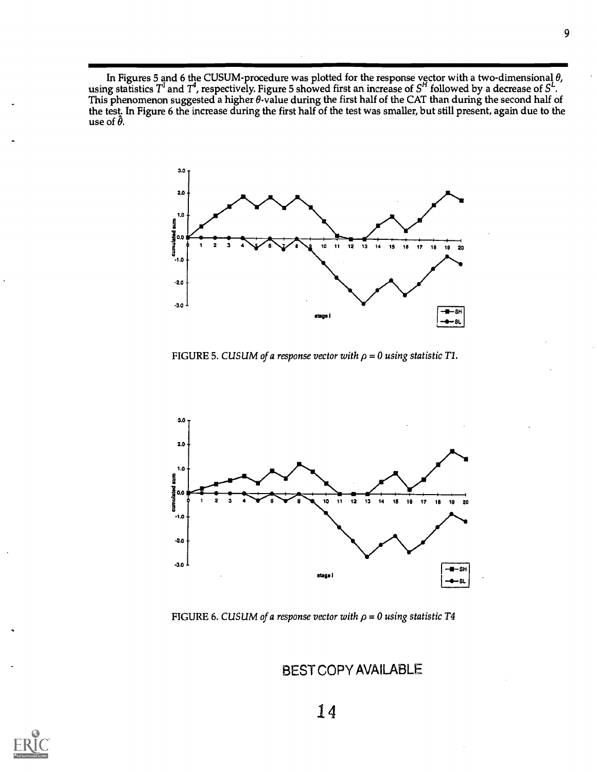In Figures 5 and 6 the CUSUM-procedure was plotted for the response vector with a two-dimensional  $\theta$ , using statistics  $T^{\iota}$  and  $T^{\iota}$ , respectively. Figure 5 showed first an increase of  $S^{\prime}$  followed by a decrease of  $S^{\iota}$ . This phenomenon suggested a higher  $\theta$ -value during the first half of the CAT than during the second half of the test. In Figure 6 the increase during the first half of the test was smaller, but still present, again due to the use of  $\hat{\theta}$ .



FIGURE 5. CUSUM of a response vector with  $\rho = 0$  using statistic T1.



FIGURE 6. CUSUM of a response vector with  $\rho = 0$  using statistic T4

BEST COPY AVAILABLE

14

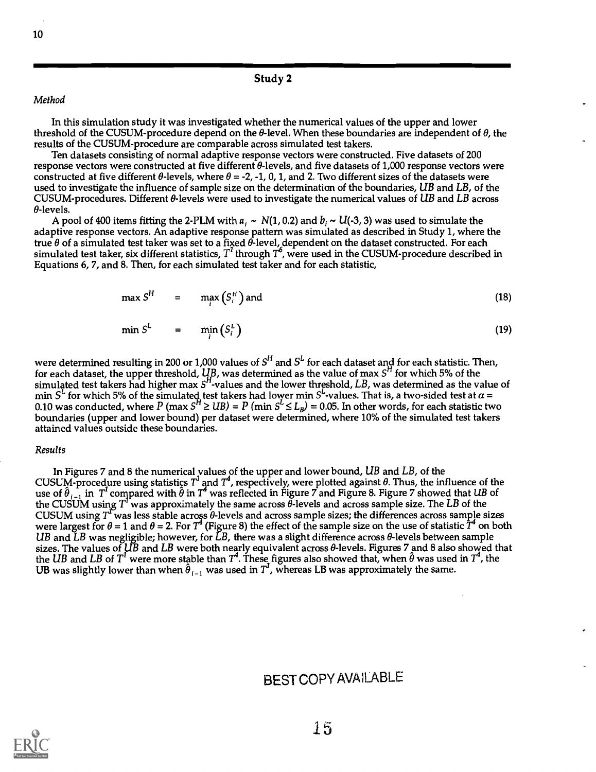#### Study 2

#### Method

In this simulation study it was investigated whether the numerical values of the upper and lower threshold of the CUSUM-procedure depend on the  $\theta$ -level. When these boundaries are independent of  $\theta$ , the results of the CUSUM-procedure are comparable across simulated test takers.

Ten datasets consisting of normal adaptive response vectors were constructed. Five datasets of 200 response vectors were constructed at five different 0-levels, and five datasets of 1,000 response vectors were constructed at five different  $\theta$ -levels, where  $\theta = -2, -1, 0, 1$ , and 2. Two different sizes of the datasets were used to investigate the influence of sample size on the determination of the boundaries, UB and LB, of the CUSUM-procedures. Different  $\theta$ -levels were used to investigate the numerical values of UB and LB across  $\theta$ -levels.

A pool of 400 items fitting the 2-PLM with  $a_i \sim N(1, 0.2)$  and  $b_i \sim U(-3, 3)$  was used to simulate the adaptive response vectors. An adaptive response pattern was simulated as described in Study 1, where the true  $\theta$  of a simulated test taker was set to a fixed  $\theta$ -level, dependent on the dataset constructed. For each simulated test taker, six different statistics,  $T^{\prime}$  through  $T^{b}$ , were used in the CUSUM-procedure described in Equations 6, 7, and 8. Then, for each simulated test taker and for each statistic,

$$
\max S^H = \max (S_i^H) \text{ and } \tag{18}
$$

$$
\min S^L = \min_i (S_i^L) \tag{19}
$$

were determined resulting in 200 or 1,000 values of  $S^{\mathsf{H}}$  and  $S^{\mathsf{L}}$  for each dataset and for each statistic. Then, for each dataset, the upper threshold,  $\c{UB}$ , was determined as the value of max  $S^n$  for which 5% of the simulated test takers had higher max  $S<sup>H</sup>$ -values and the lower threshold,  $LB$ , was determined as the value of min  $S^L$  for which 5% of the simulated test takers had lower min  $S^L$ -values. That is, a two-sided test at  $\alpha$  = 0.10 was conducted, where  $P$  (max  $S^n \geq UB$ ) =  $P$  (min  $S^\sim$   $\leq$   $L_{B}$ ) = 0.05. In other words, for each statistic two boundaries (upper and lower bound) per dataset were determined, where 10% of the simulated test takers attained values outside these boundaries.

#### Results

In Figures 7 and 8 the numerical values of the upper and lower bound,  $\mathit{UB}$  and  $\mathit{LB},$  of the CUSUM-procedure using statistics  $T^{\prime}$  and  $T^{\prime}$ , respectively, were plotted against  $\theta$ . Thus, the influence of the use of  $\hat{\theta}_{i-1}$  in  $\,T^i$  compared with  $\hat{\theta}$  in  $T^i$  was reflected in Figure 7 and Figure 8. Figure 7 showed that  $UB$  of the CUSUM using  $T^{\text{r}}$ was approximately the same across  $\theta$ -levels and across sample size. The  $LB$  of the CUSUM using  $T^{\text{f}}$  was less stable across  $\theta$ -levels and across sample sizes; the differences across sample sizes were largest for  $\theta = 1$  and  $\theta = 2$ . For  $T^4$  (Figure 8) the effect of the sample size on the use of statistic  $T^4$  on both UB and LB was negligible; however, for LB, there was a slight difference across  $\theta$ -levels between sample sizes. The values of UB and LB were both nearly equivalent across 0-levels. Figures 7 and 8 also showed that the  $UB$  and  $LB$  of  $T^{\rm I}$  were more stable than  $T^{\rm a}.$  These figures also showed that, when  $\theta$  was used in  $T^{\rm a}$ , the UB was slightly lower than when  $\hat{\theta}_{i-1}$  was used in  $T'$ , whereas LB was approximately the same.

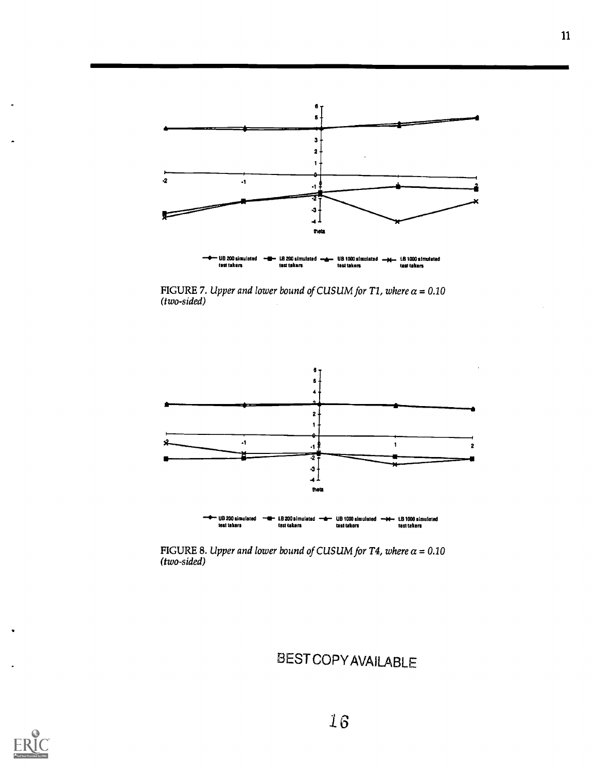

FIGURE 7. Upper and lower bound of CUSUM for T1, where  $\alpha$  = 0.10 (two-sided)



FIGURE 8. Upper and lower bound of CUSUM for T4, where  $\alpha$  = 0.10 (two-sided)

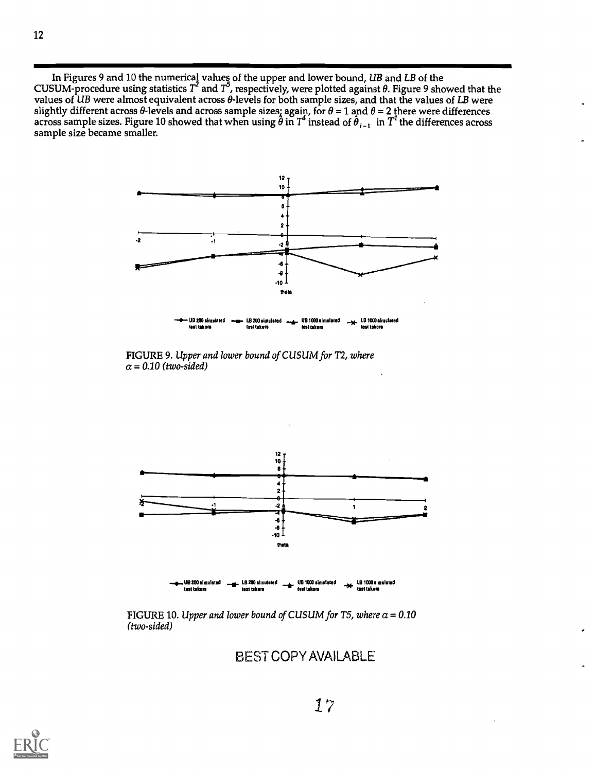In Figures 9 and 10 the numerical values of the upper and lower bound*, UB* and *LB* of the CUSUM-procedure using statistics  $T^{\epsilon}$  and  $T^{\flat}$ , respectively, were plotted against  $\theta.$  Figure 9 showed that the values of UB were almost equivalent across  $\theta$ -levels for both sample sizes, and that the values of LB were slightly different across  $\theta$ -levels and across sample sizes; again, for  $\theta$  = 1 and  $\theta$  = 2 there were differences<br>across sample sizes. Figure 10 showed that when using  $\hat{\theta}$  in  $T^4$  instead of  $\hat{\theta}_{i-1}$  in  $T^i$ sample size became smaller.



FIGURE 9. Upper and lower bound of CUSUM for T2, where  $\alpha$  = 0.10 (two-sided)



FIGURE 10. Upper and lower bound of CUSUM for T5, where  $\alpha = 0.10$ (two-sided)

BEST COPY AVAILABLE

12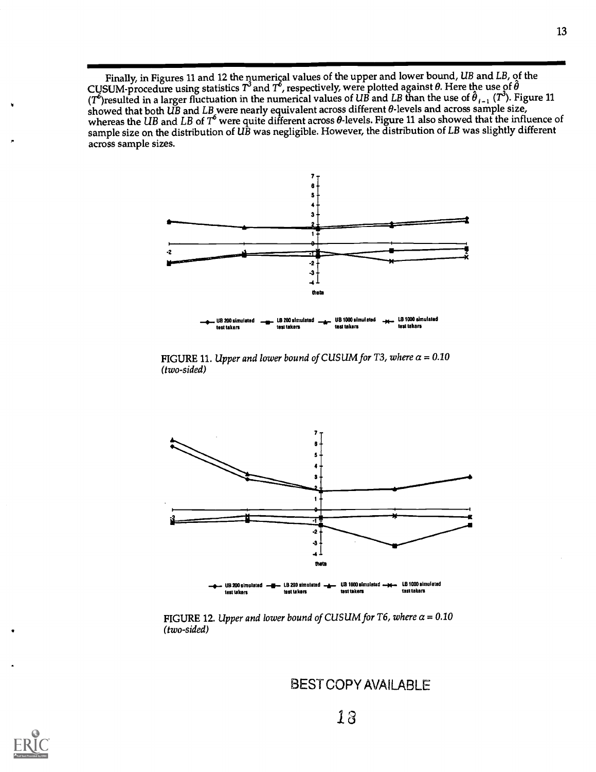Finally, in Figures 11 and 12 the numerical values of the upper and lower bound,  $UB$  and  $LB$ , of the CUSUM-procedure using statistics  $T^3$  and  $T^6$ , respectively, were plotted against  $\theta$ . Here the use of  $\hat{\theta}$ (T<sup>6</sup>)resulted in a larger fluctuation in the numerical values of UB and LB than the use of  $\theta_{i-1}$  (T°). Figure 11 showed that both UB and LB were nearly equivalent across different  $\theta$  levels and across sample size, whereas the UB and LB of  $T^{\circ}$  were quite different across  $\theta$ -levels. Figure 11 also showed that the influence of sample size on the distribution of UB was negligible. However, the distribution of LB was slightly different across sample sizes.



FIGURE 11. Upper and lower bound of CUSUM for T3, where  $\alpha = 0.10$ (two-sided)



FIGURE 12. Upper and lower bound of CUSUM for T6, where  $\alpha = 0.10$ (two-sided)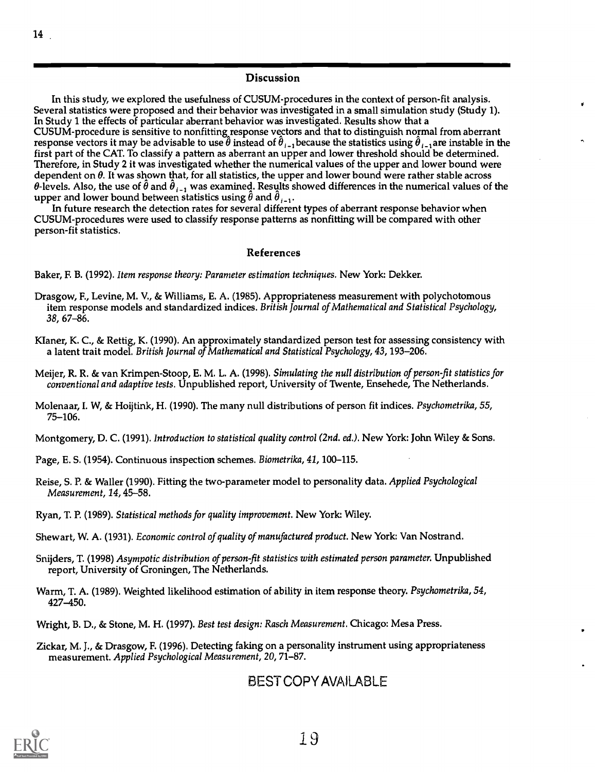#### Discussion

In this study, we explored the usefulness of CUSUM-procedures in the context of person-fit analysis. Several statistics were proposed and their behavior was investigated in a small simulation study (Study 1). In Study 1 the effects of particular aberrant behavior was investigated. Results show that a CUSUM-procedure is sensitive to nonfitting response vectors and that to distinguish normal from aberrant response vectors it may be advisable to use  $\hat{\theta}$  instead of  $\hat{\theta}_{l-1}$  because the statistics using  $\hat{\theta}_{l-1}$ are instable in the first part of the CAT. To classify a pattern as aberrant an upper and lower threshold should be determined. Therefore, in Study 2 it was investigated whether the numerical values of the upper and lower bound were dependent on  $\theta$ . It was shown that, for all statistics, the upper and lower bound were rather stable across  $\theta$ -levels. Also, the use of  $\hat{\theta}$  and  $\hat{\theta}_{i-1}$  was examined. Results showed differences in the numerical values of the upper and lower bound between statistics using  $\hat{\theta}$  and  $\hat{\theta}_{i-1}$ .

In future research the detection rates for several different types of aberrant response behavior when CUSUM-procedures were used to classify response patterns as nonfitting will be compared with other person-fit statistics.

#### References

Baker, F. B. (1992). Item response theory: Parameter estimation techniques. New York: Dekker.

- Drasgow, F., Levine, M. V., & Williams, E. A. (1985). Appropriateness measurement with polychotomous item response models and standardized indices. British Journal of Mathematical and Statistical Psychology, 38, 67-86.
- Klaner, K. C., & Rettig, K. (1990). An approximately standardized person test for assessing consistency with a latent trait model. British Journal of Mathematical and Statistical Psychology, 43, 193-206.
- Meijer, R. R. & van Krimpen-Stoop, E. M. L. A. (1998). Simulating the null distribution of person-fit statistics for conventional and adaptive tests. Unpublished report, University of Twente, Ensehede, The Netherlands.
- Molenaar, I. W, & Hoijtink, H. (1990). The many null distributions of person fit indices. Psychometrika, 55, 75-106.

Montgomery, D. C. (1991). Introduction to statistical quality control (2nd. ed.). New York: John Wiley & Sons.

Page, E. S. (1954). Continuous inspection schemes. Biometrika, 41,100-115.

- Reise, S. P. & Waller (1990). Fitting the two-parameter model to personality data. Applied Psychological Measurement, 14,45-58.
- Ryan, T. P. (1989). Statistical methods for quality improvement. New York: Wiley.
- Shewart, W. A. (1931). Economic control of quality of manufactured product. New York: Van Nostrand.
- Snijders, T. (1998) Asympotic distribution of person-fit statistics with estimated person parameter. Unpublished report, University of Groningen, The Netherlands.
- Warm, T. A. (1989). Weighted likelihood estimation of ability in item response theory. Psychometrika, 54, 427-450.
- Wright, B. D., & Stone, M. H. (1997). Best test design: Rasch Measurement. Chicago: Mesa Press.
- Zickar, M. J., & Drasgow, F. (1996). Detecting faking on a personality instrument using appropriateness measurement. Applied Psychological Measurement, 20, 71-87.